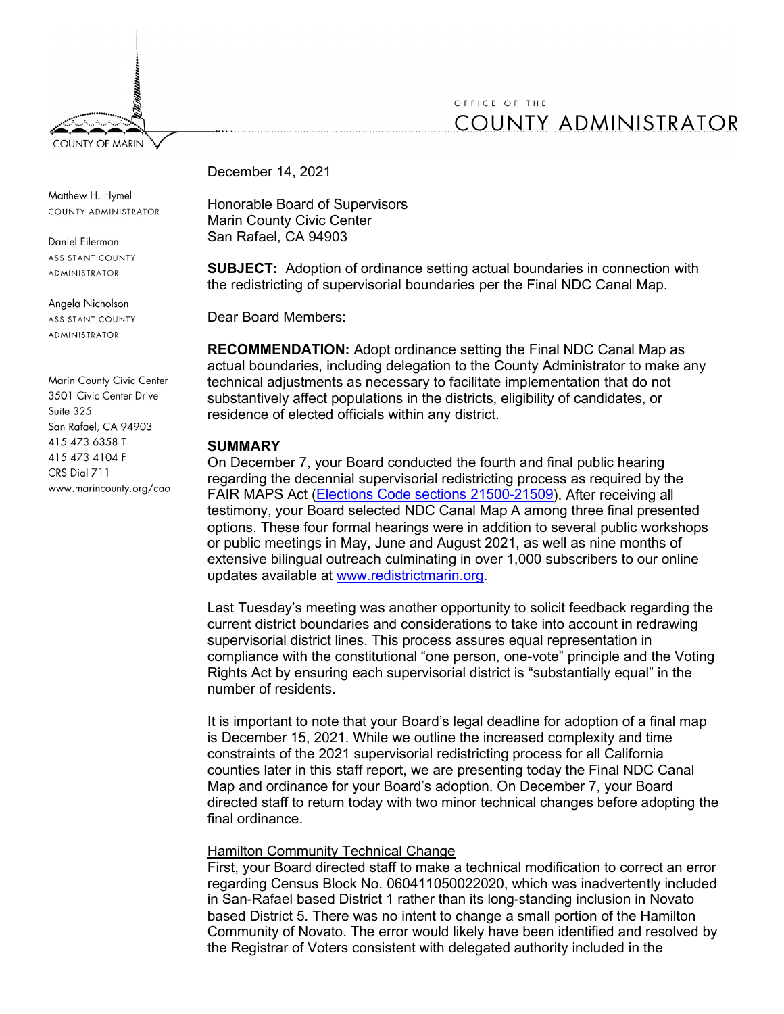

#### Matthew H. Hymel COUNTY ADMINISTRATOR

Daniel Eilerman **ASSISTANT COUNTY** ADMINISTRATOR

#### Angela Nicholson

**ASSISTANT COUNTY ADMINISTRATOR** 

Marin County Civic Center 3501 Civic Center Drive Suite 325 San Rafael, CA 94903 415 473 6358 T 415 473 4104 F CRS Dial 711 www.marincounty.org/cao

# OFFICE OF THE **COUNTY ADMINISTRATOR**

# December 14, 2021

Honorable Board of Supervisors Marin County Civic Center San Rafael, CA 94903

**SUBJECT:** Adoption of ordinance setting actual boundaries in connection with the redistricting of supervisorial boundaries per the Final NDC Canal Map.

Dear Board Members:

**RECOMMENDATION:** Adopt ordinance setting the Final NDC Canal Map as actual boundaries, including delegation to the County Administrator to make any technical adjustments as necessary to facilitate implementation that do not substantively affect populations in the districts, eligibility of candidates, or residence of elected officials within any district.

# **SUMMARY**

On December 7, your Board conducted the fourth and final public hearing regarding the decennial supervisorial redistricting process as required by the FAIR MAPS Act [\(Elections Code sections 21500-21509\)](https://leginfo.legislature.ca.gov/faces/codes_displaySection.xhtml?lawCode=ELEC§ionNum=21500). After receiving all testimony, your Board selected NDC Canal Map A among three final presented options. These four formal hearings were in addition to several public workshops or public meetings in May, June and August 2021, as well as nine months of extensive bilingual outreach culminating in over 1,000 subscribers to our online updates available at [www.redistrictmarin.org.](http://www.redistrictmarin.org/)

Last Tuesday's meeting was another opportunity to solicit feedback regarding the current district boundaries and considerations to take into account in redrawing supervisorial district lines. This process assures equal representation in compliance with the constitutional "one person, one-vote" principle and the Voting Rights Act by ensuring each supervisorial district is "substantially equal" in the number of residents.

It is important to note that your Board's legal deadline for adoption of a final map is December 15, 2021. While we outline the increased complexity and time constraints of the 2021 supervisorial redistricting process for all California counties later in this staff report, we are presenting today the Final NDC Canal Map and ordinance for your Board's adoption. On December 7, your Board directed staff to return today with two minor technical changes before adopting the final ordinance.

# Hamilton Community Technical Change

First, your Board directed staff to make a technical modification to correct an error regarding Census Block No. 060411050022020, which was inadvertently included in San-Rafael based District 1 rather than its long-standing inclusion in Novato based District 5. There was no intent to change a small portion of the Hamilton Community of Novato. The error would likely have been identified and resolved by the Registrar of Voters consistent with delegated authority included in the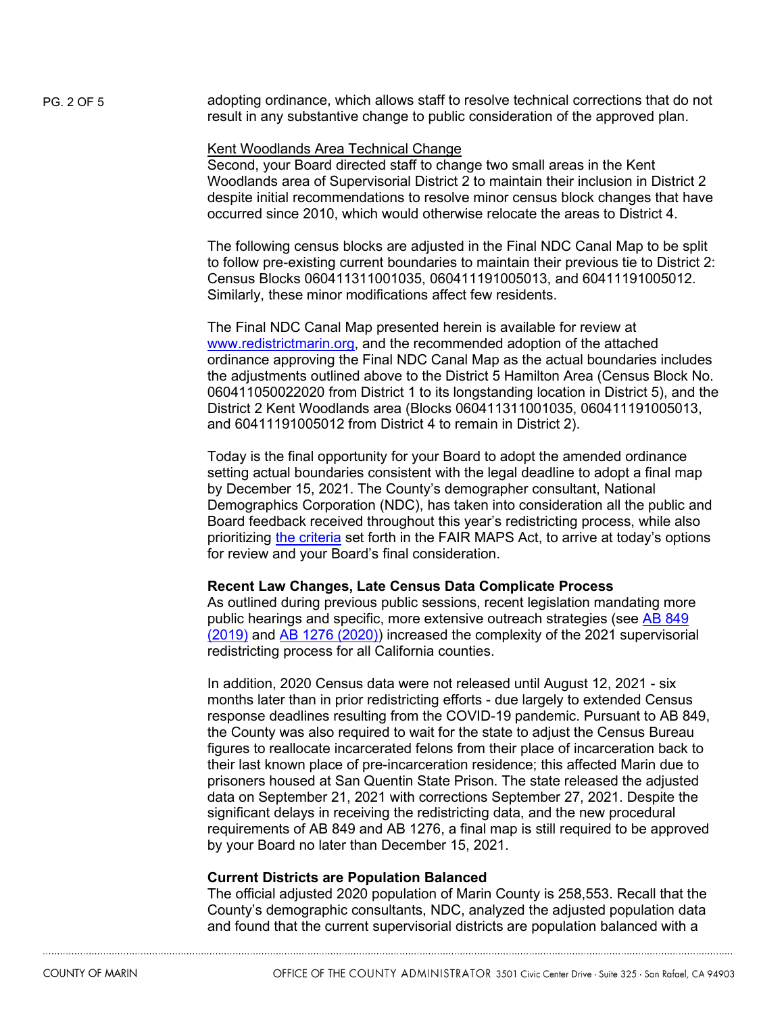PG. 2 OF 5 adopting ordinance, which allows staff to resolve technical corrections that do not result in any substantive change to public consideration of the approved plan.

#### Kent Woodlands Area Technical Change

Second, your Board directed staff to change two small areas in the Kent Woodlands area of Supervisorial District 2 to maintain their inclusion in District 2 despite initial recommendations to resolve minor census block changes that have occurred since 2010, which would otherwise relocate the areas to District 4.

The following census blocks are adjusted in the Final NDC Canal Map to be split to follow pre-existing current boundaries to maintain their previous tie to District 2: Census Blocks 060411311001035, 060411191005013, and 60411191005012. Similarly, these minor modifications affect few residents.

The Final NDC Canal Map presented herein is available for review at [www.redistrictmarin.org,](http://www.redistrictmarin.org/) and the recommended adoption of the attached ordinance approving the Final NDC Canal Map as the actual boundaries includes the adjustments outlined above to the District 5 Hamilton Area (Census Block No. 060411050022020 from District 1 to its longstanding location in District 5), and the District 2 Kent Woodlands area (Blocks 060411311001035, 060411191005013, and 60411191005012 from District 4 to remain in District 2).

Today is the final opportunity for your Board to adopt the amended ordinance setting actual boundaries consistent with the legal deadline to adopt a final map by December 15, 2021. The County's demographer consultant, National Demographics Corporation (NDC), has taken into consideration all the public and Board feedback received throughout this year's redistricting process, while also prioritizing [the criteria](https://redistrictmarin.org/faq/) set forth in the FAIR MAPS Act, to arrive at today's options for review and your Board's final consideration.

#### **Recent Law Changes, Late Census Data Complicate Process**

As outlined during previous public sessions, recent legislation mandating more public hearings and specific, more extensive outreach strategies (see [AB 849](https://leginfo.legislature.ca.gov/faces/billNavClient.xhtml?bill_id=201920200AB849)  [\(2019\)](https://leginfo.legislature.ca.gov/faces/billNavClient.xhtml?bill_id=201920200AB849) and [AB 1276 \(2020\)\)](https://leginfo.legislature.ca.gov/faces/billNavClient.xhtml?bill_id=201920200AB1276) increased the complexity of the 2021 supervisorial redistricting process for all California counties.

In addition, 2020 Census data were not released until August 12, 2021 - six months later than in prior redistricting efforts - due largely to extended Census response deadlines resulting from the COVID-19 pandemic. Pursuant to AB 849, the County was also required to wait for the state to adjust the Census Bureau figures to reallocate incarcerated felons from their place of incarceration back to their last known place of pre-incarceration residence; this affected Marin due to prisoners housed at San Quentin State Prison. The state released the adjusted data on September 21, 2021 with corrections September 27, 2021. Despite the significant delays in receiving the redistricting data, and the new procedural requirements of AB 849 and AB 1276, a final map is still required to be approved by your Board no later than December 15, 2021.

## **Current Districts are Population Balanced**

The official adjusted 2020 population of Marin County is 258,553. Recall that the County's demographic consultants, NDC, analyzed the adjusted population data and found that the current supervisorial districts are population balanced with a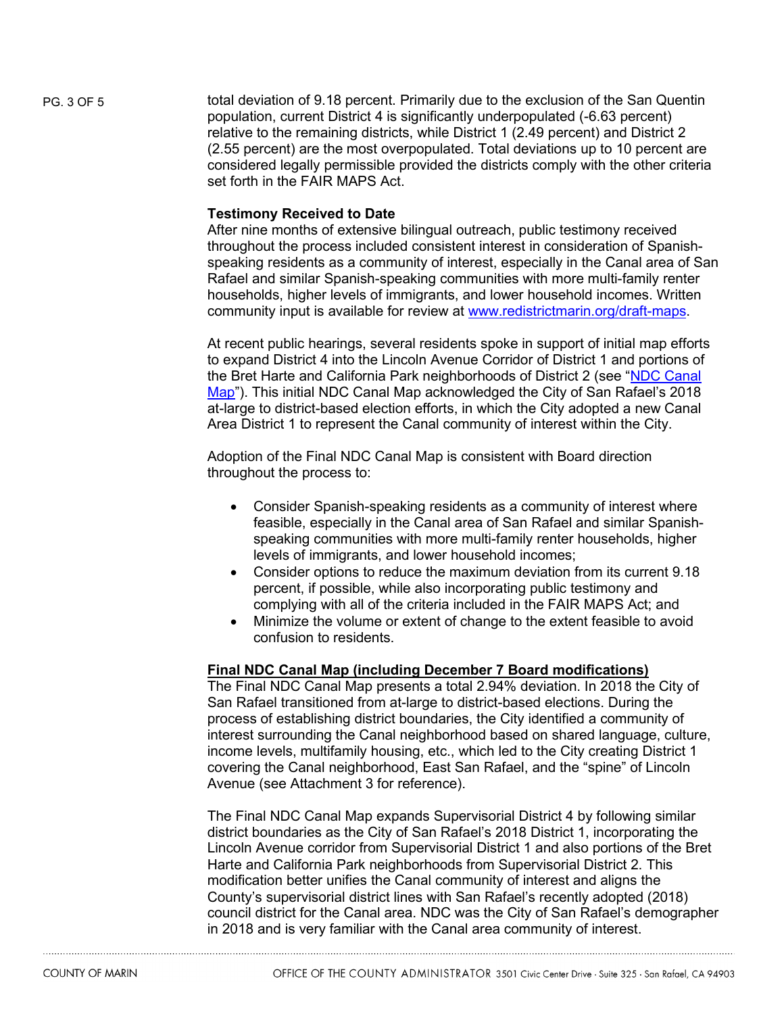PG. 3 OF 5 total deviation of 9.18 percent. Primarily due to the exclusion of the San Quentin population, current District 4 is significantly underpopulated (-6.63 percent) relative to the remaining districts, while District 1 (2.49 percent) and District 2 (2.55 percent) are the most overpopulated. Total deviations up to 10 percent are considered legally permissible provided the districts comply with the other criteria set forth in the FAIR MAPS Act.

# **Testimony Received to Date**

After nine months of extensive bilingual outreach, public testimony received throughout the process included consistent interest in consideration of Spanishspeaking residents as a community of interest, especially in the Canal area of San Rafael and similar Spanish-speaking communities with more multi-family renter households, higher levels of immigrants, and lower household incomes. Written community input is available for review at [www.redistrictmarin.org/draft-maps.](http://www.redistrictmarin.org/draft-maps)

At recent public hearings, several residents spoke in support of initial map efforts to expand District 4 into the Lincoln Avenue Corridor of District 1 and portions of the Bret Harte and California Park neighborhoods of District 2 (see ["NDC Canal](https://redistrictmarin.org/wp-content/uploads/2021/10/NDC-Canal-web.pdf)  [Map"](https://redistrictmarin.org/wp-content/uploads/2021/10/NDC-Canal-web.pdf)). This initial NDC Canal Map acknowledged the City of San Rafael's 2018 at-large to district-based election efforts, in which the City adopted a new Canal Area District 1 to represent the Canal community of interest within the City.

Adoption of the Final NDC Canal Map is consistent with Board direction throughout the process to:

- Consider Spanish-speaking residents as a community of interest where feasible, especially in the Canal area of San Rafael and similar Spanishspeaking communities with more multi-family renter households, higher levels of immigrants, and lower household incomes;
- Consider options to reduce the maximum deviation from its current 9.18 percent, if possible, while also incorporating public testimony and complying with all of the criteria included in the FAIR MAPS Act; and
- Minimize the volume or extent of change to the extent feasible to avoid confusion to residents.

# **Final NDC Canal Map (including December 7 Board modifications)**

The Final NDC Canal Map presents a total 2.94% deviation. In 2018 the City of San Rafael transitioned from at-large to district-based elections. During the process of establishing district boundaries, the City identified a community of interest surrounding the Canal neighborhood based on shared language, culture, income levels, multifamily housing, etc., which led to the City creating District 1 covering the Canal neighborhood, East San Rafael, and the "spine" of Lincoln Avenue (see Attachment 3 for reference).

The Final NDC Canal Map expands Supervisorial District 4 by following similar district boundaries as the City of San Rafael's 2018 District 1, incorporating the Lincoln Avenue corridor from Supervisorial District 1 and also portions of the Bret Harte and California Park neighborhoods from Supervisorial District 2. This modification better unifies the Canal community of interest and aligns the County's supervisorial district lines with San Rafael's recently adopted (2018) council district for the Canal area. NDC was the City of San Rafael's demographer in 2018 and is very familiar with the Canal area community of interest.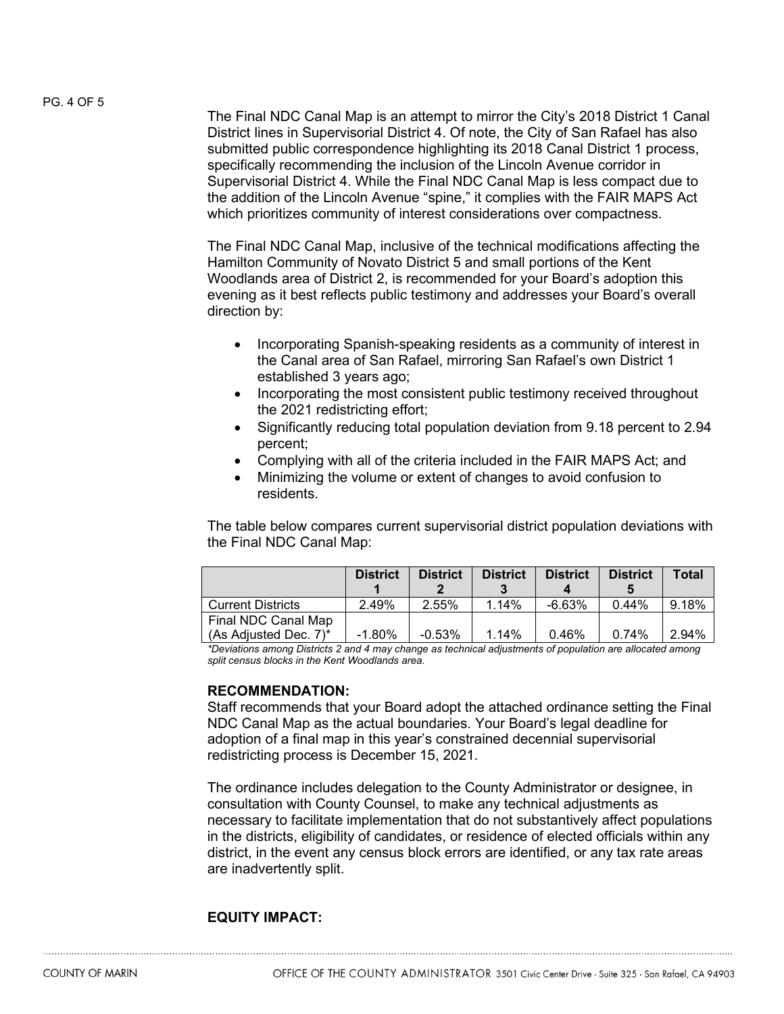The Final NDC Canal Map is an attempt to mirror the City's 2018 District 1 Canal District lines in Supervisorial District 4. Of note, the City of San Rafael has also submitted public correspondence highlighting its 2018 Canal District 1 process, specifically recommending the inclusion of the Lincoln Avenue corridor in Supervisorial District 4. While the Final NDC Canal Map is less compact due to the addition of the Lincoln Avenue "spine," it complies with the FAIR MAPS Act which prioritizes community of interest considerations over compactness.

The Final NDC Canal Map, inclusive of the technical modifications affecting the Hamilton Community of Novato District 5 and small portions of the Kent Woodlands area of District 2, is recommended for your Board's adoption this evening as it best reflects public testimony and addresses your Board's overall direction by:

- Incorporating Spanish-speaking residents as a community of interest in the Canal area of San Rafael, mirroring San Rafael's own District 1 established 3 years ago;
- Incorporating the most consistent public testimony received throughout the 2021 redistricting effort;
- Significantly reducing total population deviation from 9.18 percent to 2.94 percent;
- Complying with all of the criteria included in the FAIR MAPS Act; and
- Minimizing the volume or extent of changes to avoid confusion to residents.

The table below compares current supervisorial district population deviations with the Final NDC Canal Map:

|                                      | <b>District</b> | <b>District</b> | <b>District</b> | <b>District</b> | <b>District</b> | <b>Total</b> |
|--------------------------------------|-----------------|-----------------|-----------------|-----------------|-----------------|--------------|
| <b>Current Districts</b>             | 2.49%           | 2.55%           | 1.14%           | $-6.63%$        | 0.44%           | 9.18%        |
| Final NDC Canal Map                  |                 |                 |                 |                 |                 |              |
| $(As$ Adiusted Dec. $7$ <sup>*</sup> | -1.80%          | $-0.53\%$       | $1.14\%$        | 0.46%           | 0.74%           | 2.94%        |

*\*Deviations among Districts 2 and 4 may change as technical adjustments of population are allocated among split census blocks in the Kent Woodlands area.* 

#### **RECOMMENDATION:**

Staff recommends that your Board adopt the attached ordinance setting the Final NDC Canal Map as the actual boundaries. Your Board's legal deadline for adoption of a final map in this year's constrained decennial supervisorial redistricting process is December 15, 2021.

The ordinance includes delegation to the County Administrator or designee, in consultation with County Counsel, to make any technical adjustments as necessary to facilitate implementation that do not substantively affect populations in the districts, eligibility of candidates, or residence of elected officials within any district, in the event any census block errors are identified, or any tax rate areas are inadvertently split.

## **EQUITY IMPACT:**